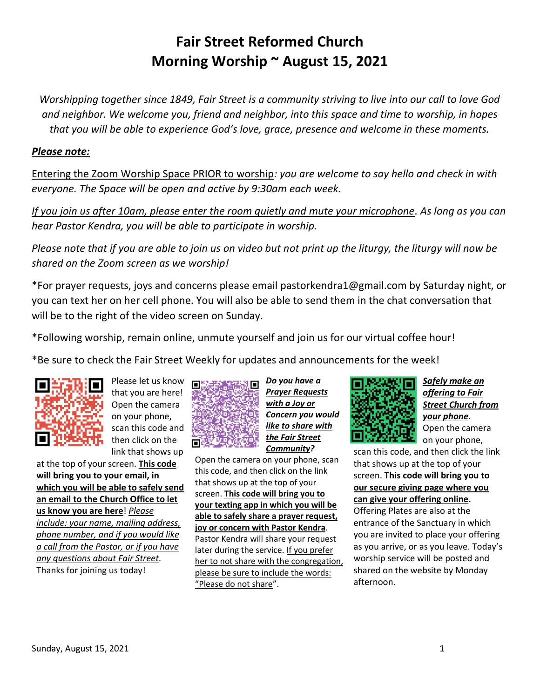# **Fair Street Reformed Church Morning Worship ~ August 15, 2021**

*Worshipping together since 1849, Fair Street is a community striving to live into our call to love God and neighbor. We welcome you, friend and neighbor, into this space and time to worship, in hopes that you will be able to experience God's love, grace, presence and welcome in these moments.*

### *Please note:*

Entering the Zoom Worship Space PRIOR to worship*: you are welcome to say hello and check in with everyone. The Space will be open and active by 9:30am each week.*

*If you join us after 10am, please enter the room quietly and mute your microphone. As long as you can hear Pastor Kendra, you will be able to participate in worship.*

*Please note that if you are able to join us on video but not print up the liturgy, the liturgy will now be shared on the Zoom screen as we worship!*

\*For prayer requests, joys and concerns please email pastorkendra1@gmail.com by Saturday night, or you can text her on her cell phone. You will also be able to send them in the chat conversation that will be to the right of the video screen on Sunday.

\*Following worship, remain online, unmute yourself and join us for our virtual coffee hour!

\*Be sure to check the Fair Street Weekly for updates and announcements for the week!



Please let us know that you are here! Open the camera on your phone, scan this code and then click on the link that shows up

at the top of your screen. **This code will bring you to your email, in which you will be able to safely send an email to the Church Office to let us know you are here**! *Please include: your name, mailing address, phone number, and if you would like a call from the Pastor, or if you have any questions about Fair Street.* Thanks for joining us today!



*Prayer Requests with a Joy or Concern you would*  **like to share with** *the Fair Street Community?*

Open the camera on your phone, scan this code, and then click on the link that shows up at the top of your screen. **This code will bring you to your texting app in which you will be able to safely share a prayer request, joy or concern with Pastor Kendra**. Pastor Kendra will share your request later during the service. If you prefer her to not share with the congregation, please be sure to include the words: "Please do not share".



afternoon.

*Safely make an offering to Fair Street Church from your phone.* Open the camera on your phone,

scan this code, and then click the link that shows up at the top of your screen. **This code will bring you to our secure giving page where you can give your offering online.** Offering Plates are also at the entrance of the Sanctuary in which you are invited to place your offering as you arrive, or as you leave. Today's worship service will be posted and shared on the website by Monday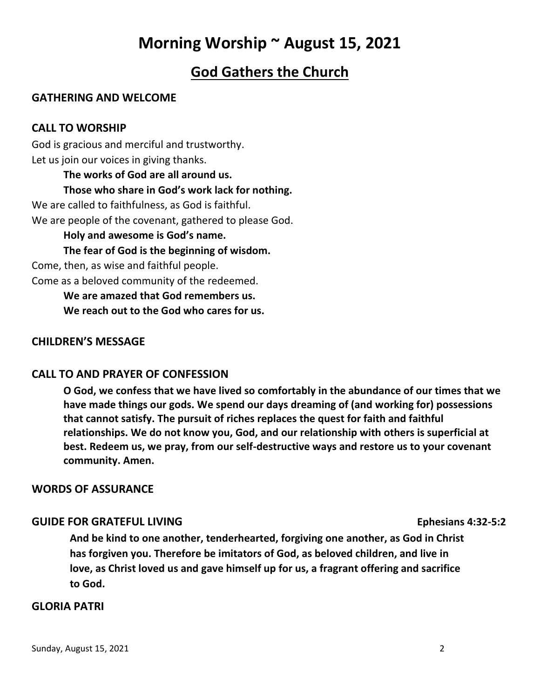# **Morning Worship ~ August 15, 2021**

# **God Gathers the Church**

# **GATHERING AND WELCOME**

## **CALL TO WORSHIP**

God is gracious and merciful and trustworthy. Let us join our voices in giving thanks.

### **The works of God are all around us.**

### **Those who share in God's work lack for nothing.**

We are called to faithfulness, as God is faithful. We are people of the covenant, gathered to please God.

### **Holy and awesome is God's name.**

**The fear of God is the beginning of wisdom.**

Come, then, as wise and faithful people.

Come as a beloved community of the redeemed.

**We are amazed that God remembers us. We reach out to the God who cares for us.**

## **CHILDREN'S MESSAGE**

# **CALL TO AND PRAYER OF CONFESSION**

**O God, we confess that we have lived so comfortably in the abundance of our times that we have made things our gods. We spend our days dreaming of (and working for) possessions that cannot satisfy. The pursuit of riches replaces the quest for faith and faithful relationships. We do not know you, God, and our relationship with others is superficial at best. Redeem us, we pray, from our self-destructive ways and restore us to your covenant community. Amen.**

## **WORDS OF ASSURANCE**

## **GUIDE FOR GRATEFUL LIVING** Ephesians 4:32-5:2

**And be kind to one another, tenderhearted, forgiving one another, as God in Christ has forgiven you. Therefore be imitators of God, as beloved children, and live in love, as Christ loved us and gave himself up for us, a fragrant offering and sacrifice to God.**

### **GLORIA PATRI**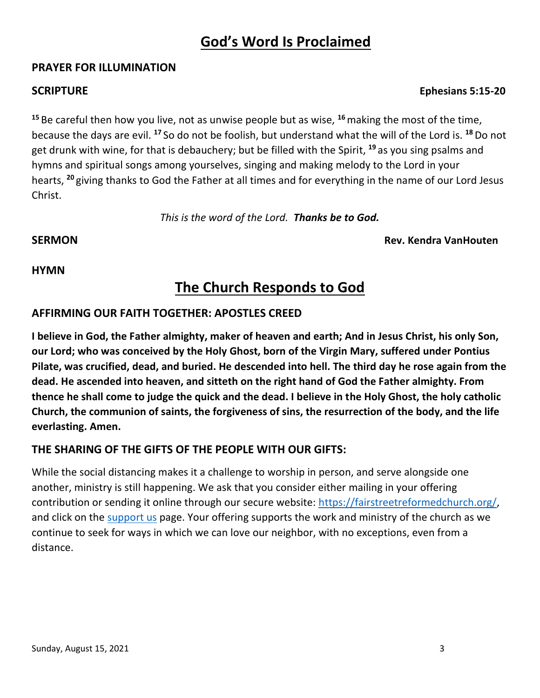# **God's Word Is Proclaimed**

### **PRAYER FOR ILLUMINATION**

**<sup>15</sup>** Be careful then how you live, not as unwise people but as wise, **<sup>16</sup>**making the most of the time, because the days are evil. **<sup>17</sup>** So do not be foolish, but understand what the will of the Lord is. **<sup>18</sup>** Do not get drunk with wine, for that is debauchery; but be filled with the Spirit, **<sup>19</sup>** as you sing psalms and hymns and spiritual songs among yourselves, singing and making melody to the Lord in your hearts, **<sup>20</sup>** giving thanks to God the Father at all times and for everything in the name of our Lord Jesus Christ.

*This is the word of the Lord. Thanks be to God.*

**SERMON Rev. Kendra VanHouten**

## **HYMN**

# **The Church Responds to God**

## **AFFIRMING OUR FAITH TOGETHER: APOSTLES CREED**

**I believe in God, the Father almighty, maker of heaven and earth; And in Jesus Christ, his only Son, our Lord; who was conceived by the Holy Ghost, born of the Virgin Mary, suffered under Pontius Pilate, was crucified, dead, and buried. He descended into hell. The third day he rose again from the dead. He ascended into heaven, and sitteth on the right hand of God the Father almighty. From thence he shall come to judge the quick and the dead. I believe in the Holy Ghost, the holy catholic Church, the communion of saints, the forgiveness of sins, the resurrection of the body, and the life everlasting. Amen.**

# **THE SHARING OF THE GIFTS OF THE PEOPLE WITH OUR GIFTS:**

While the social distancing makes it a challenge to worship in person, and serve alongside one another, ministry is still happening. We ask that you consider either mailing in your offering contribution or sending it online through our secure website: https://fairstreetreformedchurch.org/ and click on the [support us](https://fairstreetreformedchurch.org/?page_id=212) page. Your offering supports the work and ministry of the church as we continue to seek for ways in which we can love our neighbor, with no exceptions, even from a distance.

### **SCRIPTURE Ephesians 5:15-20**